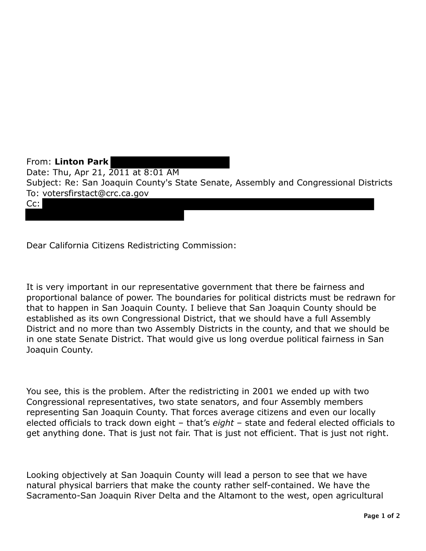From: **Linton Park**  Date: Thu, Apr 21, 2011 at 8:01 AM Subject: Re: San Joaquin County's State Senate, Assembly and Congressional Districts To: votersfirstact@crc.ca.gov Cc:

Dear California Citizens Redistricting Commission:

It is very important in our representative government that there be fairness and proportional balance of power. The boundaries for political districts must be redrawn for that to happen in San Joaquin County. I believe that San Joaquin County should be established as its own Congressional District, that we should have a full Assembly District and no more than two Assembly Districts in the county, and that we should be in one state Senate District. That would give us long overdue political fairness in San Joaquin County.

You see, this is the problem. After the redistricting in 2001 we ended up with two Congressional representatives, two state senators, and four Assembly members representing San Joaquin County. That forces average citizens and even our locally elected officials to track down eight – that's *eight* – state and federal elected officials to get anything done. That is just not fair. That is just not efficient. That is just not right.

Looking objectively at San Joaquin County will lead a person to see that we have natural physical barriers that make the county rather self-contained. We have the Sacramento-San Joaquin River Delta and the Altamont to the west, open agricultural